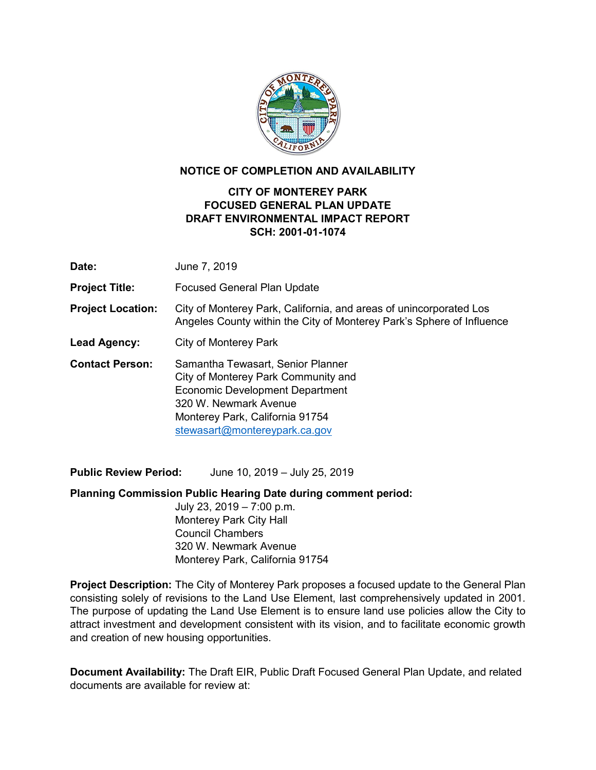

## **NOTICE OF COMPLETION AND AVAILABILITY**

## **CITY OF MONTEREY PARK FOCUSED GENERAL PLAN UPDATE DRAFT ENVIRONMENTAL IMPACT REPORT SCH: 2001-01-1074**

| Date:                    | June 7, 2019                                                                                                                                                                                             |
|--------------------------|----------------------------------------------------------------------------------------------------------------------------------------------------------------------------------------------------------|
| <b>Project Title:</b>    | <b>Focused General Plan Update</b>                                                                                                                                                                       |
| <b>Project Location:</b> | City of Monterey Park, California, and areas of unincorporated Los<br>Angeles County within the City of Monterey Park's Sphere of Influence                                                              |
| Lead Agency:             | City of Monterey Park                                                                                                                                                                                    |
| <b>Contact Person:</b>   | Samantha Tewasart, Senior Planner<br>City of Monterey Park Community and<br>Economic Development Department<br>320 W. Newmark Avenue<br>Monterey Park, California 91754<br>stewasart@montereypark.ca.gov |

**Public Review Period:** June 10, 2019 – July 25, 2019

**Planning Commission Public Hearing Date during comment period:**

July 23, 2019 – 7:00 p.m. Monterey Park City Hall Council Chambers 320 W. Newmark Avenue Monterey Park, California 91754

**Project Description:** The City of Monterey Park proposes a focused update to the General Plan consisting solely of revisions to the Land Use Element, last comprehensively updated in 2001. The purpose of updating the Land Use Element is to ensure land use policies allow the City to attract investment and development consistent with its vision, and to facilitate economic growth and creation of new housing opportunities.

**Document Availability:** The Draft EIR, Public Draft Focused General Plan Update, and related documents are available for review at: